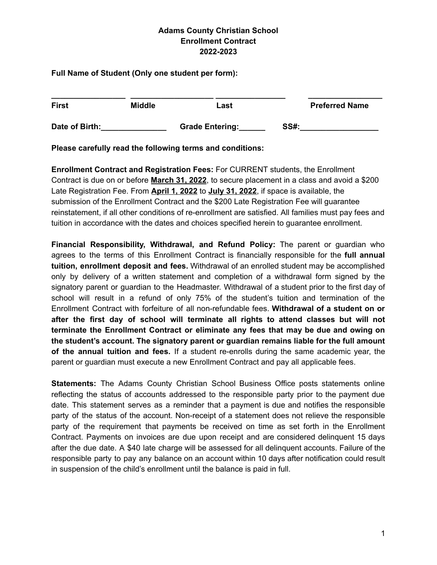**Full Name of Student (Only one student per form):**

| <b>First</b>   | <b>Middle</b> | Last                   |             | <b>Preferred Name</b> |  |
|----------------|---------------|------------------------|-------------|-----------------------|--|
| Date of Birth: |               | <b>Grade Entering:</b> | <b>SS#:</b> |                       |  |

**Please carefully read the following terms and conditions:**

**Enrollment Contract and Registration Fees:** For CURRENT students, the Enrollment Contract is due on or before **March 31, 2022**, to secure placement in a class and avoid a \$200 Late Registration Fee. From **April 1, 2022** to **July 31, 2022**, if space is available, the submission of the Enrollment Contract and the \$200 Late Registration Fee will guarantee reinstatement, if all other conditions of re-enrollment are satisfied. All families must pay fees and tuition in accordance with the dates and choices specified herein to guarantee enrollment.

**Financial Responsibility, Withdrawal, and Refund Policy:** The parent or guardian who agrees to the terms of this Enrollment Contract is financially responsible for the **full annual tuition, enrollment deposit and fees.** Withdrawal of an enrolled student may be accomplished only by delivery of a written statement and completion of a withdrawal form signed by the signatory parent or guardian to the Headmaster. Withdrawal of a student prior to the first day of school will result in a refund of only 75% of the student's tuition and termination of the Enrollment Contract with forfeiture of all non-refundable fees. **Withdrawal of a student on or after the first day of school will terminate all rights to attend classes but will not terminate the Enrollment Contract or eliminate any fees that may be due and owing on the student's account. The signatory parent or guardian remains liable for the full amount of the annual tuition and fees.** If a student re-enrolls during the same academic year, the parent or guardian must execute a new Enrollment Contract and pay all applicable fees.

**Statements:** The Adams County Christian School Business Office posts statements online reflecting the status of accounts addressed to the responsible party prior to the payment due date. This statement serves as a reminder that a payment is due and notifies the responsible party of the status of the account. Non-receipt of a statement does not relieve the responsible party of the requirement that payments be received on time as set forth in the Enrollment Contract. Payments on invoices are due upon receipt and are considered delinquent 15 days after the due date. A \$40 late charge will be assessed for all delinquent accounts. Failure of the responsible party to pay any balance on an account within 10 days after notification could result in suspension of the child's enrollment until the balance is paid in full.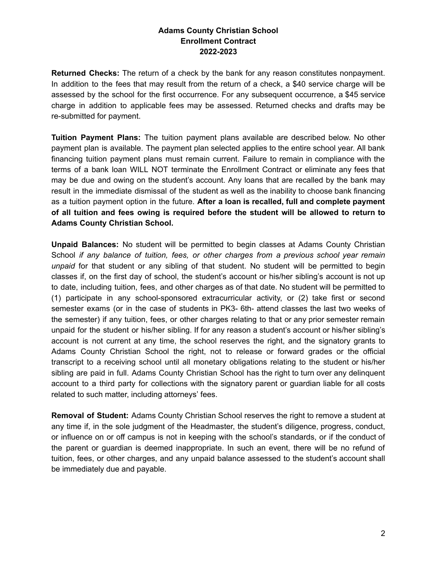**Returned Checks:** The return of a check by the bank for any reason constitutes nonpayment. In addition to the fees that may result from the return of a check, a \$40 service charge will be assessed by the school for the first occurrence. For any subsequent occurrence, a \$45 service charge in addition to applicable fees may be assessed. Returned checks and drafts may be re-submitted for payment.

**Tuition Payment Plans:** The tuition payment plans available are described below. No other payment plan is available. The payment plan selected applies to the entire school year. All bank financing tuition payment plans must remain current. Failure to remain in compliance with the terms of a bank loan WILL NOT terminate the Enrollment Contract or eliminate any fees that may be due and owing on the student's account. Any loans that are recalled by the bank may result in the immediate dismissal of the student as well as the inability to choose bank financing as a tuition payment option in the future. **After a loan is recalled, full and complete payment of all tuition and fees owing is required before the student will be allowed to return to Adams County Christian School.**

**Unpaid Balances:** No student will be permitted to begin classes at Adams County Christian School *if any balance of tuition, fees, or other charges from a previous school year remain unpaid* for that student or any sibling of that student. No student will be permitted to begin classes if, on the first day of school, the student's account or his/her sibling's account is not up to date, including tuition, fees, and other charges as of that date. No student will be permitted to (1) participate in any school-sponsored extracurricular activity, or (2) take first or second semester exams (or in the case of students in PK3- 6th- attend classes the last two weeks of the semester) if any tuition, fees, or other charges relating to that or any prior semester remain unpaid for the student or his/her sibling. If for any reason a student's account or his/her sibling's account is not current at any time, the school reserves the right, and the signatory grants to Adams County Christian School the right, not to release or forward grades or the official transcript to a receiving school until all monetary obligations relating to the student or his/her sibling are paid in full. Adams County Christian School has the right to turn over any delinquent account to a third party for collections with the signatory parent or guardian liable for all costs related to such matter, including attorneys' fees.

**Removal of Student:** Adams County Christian School reserves the right to remove a student at any time if, in the sole judgment of the Headmaster, the student's diligence, progress, conduct, or influence on or off campus is not in keeping with the school's standards, or if the conduct of the parent or guardian is deemed inappropriate. In such an event, there will be no refund of tuition, fees, or other charges, and any unpaid balance assessed to the student's account shall be immediately due and payable.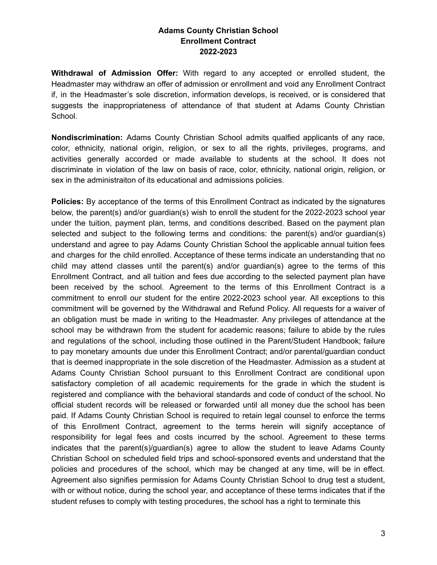**Withdrawal of Admission Offer:** With regard to any accepted or enrolled student, the Headmaster may withdraw an offer of admission or enrollment and void any Enrollment Contract if, in the Headmaster's sole discretion, information develops, is received, or is considered that suggests the inappropriateness of attendance of that student at Adams County Christian School.

**Nondiscrimination:** Adams County Christian School admits qualfied applicants of any race, color, ethnicity, national origin, religion, or sex to all the rights, privileges, programs, and activities generally accorded or made available to students at the school. It does not discriminate in violation of the law on basis of race, color, ethnicity, national origin, religion, or sex in the administraiton of its educational and admissions policies.

**Policies:** By acceptance of the terms of this Enrollment Contract as indicated by the signatures below, the parent(s) and/or guardian(s) wish to enroll the student for the 2022-2023 school year under the tuition, payment plan, terms, and conditions described. Based on the payment plan selected and subject to the following terms and conditions: the parent(s) and/or guardian(s) understand and agree to pay Adams County Christian School the applicable annual tuition fees and charges for the child enrolled. Acceptance of these terms indicate an understanding that no child may attend classes until the parent(s) and/or guardian(s) agree to the terms of this Enrollment Contract, and all tuition and fees due according to the selected payment plan have been received by the school. Agreement to the terms of this Enrollment Contract is a commitment to enroll our student for the entire 2022-2023 school year. All exceptions to this commitment will be governed by the Withdrawal and Refund Policy. All requests for a waiver of an obligation must be made in writing to the Headmaster. Any privileges of attendance at the school may be withdrawn from the student for academic reasons; failure to abide by the rules and regulations of the school, including those outlined in the Parent/Student Handbook; failure to pay monetary amounts due under this Enrollment Contract; and/or parental/guardian conduct that is deemed inappropriate in the sole discretion of the Headmaster. Admission as a student at Adams County Christian School pursuant to this Enrollment Contract are conditional upon satisfactory completion of all academic requirements for the grade in which the student is registered and compliance with the behavioral standards and code of conduct of the school. No official student records will be released or forwarded until all money due the school has been paid. If Adams County Christian School is required to retain legal counsel to enforce the terms of this Enrollment Contract, agreement to the terms herein will signify acceptance of responsibility for legal fees and costs incurred by the school. Agreement to these terms indicates that the parent(s)/guardian(s) agree to allow the student to leave Adams County Christian School on scheduled field trips and school-sponsored events and understand that the policies and procedures of the school, which may be changed at any time, will be in effect. Agreement also signifies permission for Adams County Christian School to drug test a student, with or without notice, during the school year, and acceptance of these terms indicates that if the student refuses to comply with testing procedures, the school has a right to terminate this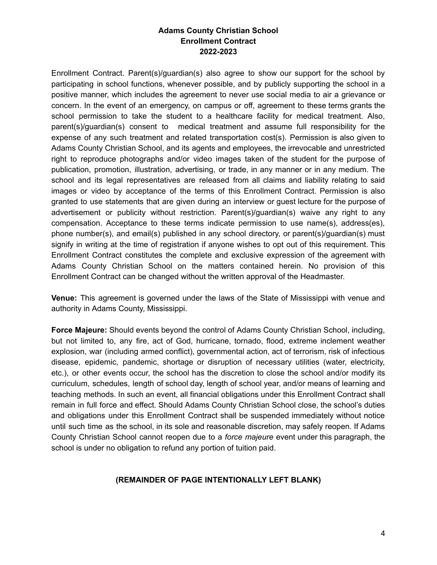Enrollment Contract. Parent(s)/guardian(s) also agree to show our support for the school by participating in school functions, whenever possible, and by publicly supporting the school in a positive manner, which includes the agreement to never use social media to air a grievance or concern. In the event of an emergency, on campus or off, agreement to these terms grants the school permission to take the student to a healthcare facility for medical treatment. Also, parent(s)/guardian(s) consent to medical treatment and assume full responsibility for the expense of any such treatment and related transportation cost(s). Permission is also given to Adams County Christian School, and its agents and employees, the irrevocable and unrestricted right to reproduce photographs and/or video images taken of the student for the purpose of publication, promotion, illustration, advertising, or trade, in any manner or in any medium. The school and its legal representatives are released from all claims and liability relating to said images or video by acceptance of the terms of this Enrollment Contract. Permission is also granted to use statements that are given during an interview or guest lecture for the purpose of advertisement or publicity without restriction. Parent(s)/guardian(s) waive any right to any compensation. Acceptance to these terms indicate permission to use name(s), address(es), phone number(s), and email(s) published in any school directory, or parent(s)/guardian(s) must signify in writing at the time of registration if anyone wishes to opt out of this requirement. This Enrollment Contract constitutes the complete and exclusive expression of the agreement with Adams County Christian School on the matters contained herein. No provision of this Enrollment Contract can be changed without the written approval of the Headmaster.

**Venue:** This agreement is governed under the laws of the State of Mississippi with venue and authority in Adams County, Mississippi.

**Force Majeure:** Should events beyond the control of Adams County Christian School, including, but not limited to, any fire, act of God, hurricane, tornado, flood, extreme inclement weather explosion, war (including armed conflict), governmental action, act of terrorism, risk of infectious disease, epidemic, pandemic, shortage or disruption of necessary utilities (water, electricity, etc.), or other events occur, the school has the discretion to close the school and/or modify its curriculum, schedules, length of school day, length of school year, and/or means of learning and teaching methods. In such an event, all financial obligations under this Enrollment Contract shall remain in full force and effect. Should Adams County Christian School close, the school's duties and obligations under this Enrollment Contract shall be suspended immediately without notice until such time as the school, in its sole and reasonable discretion, may safely reopen. If Adams County Christian School cannot reopen due to a *force majeure* event under this paragraph, the school is under no obligation to refund any portion of tuition paid.

### **(REMAINDER OF PAGE INTENTIONALLY LEFT BLANK)**